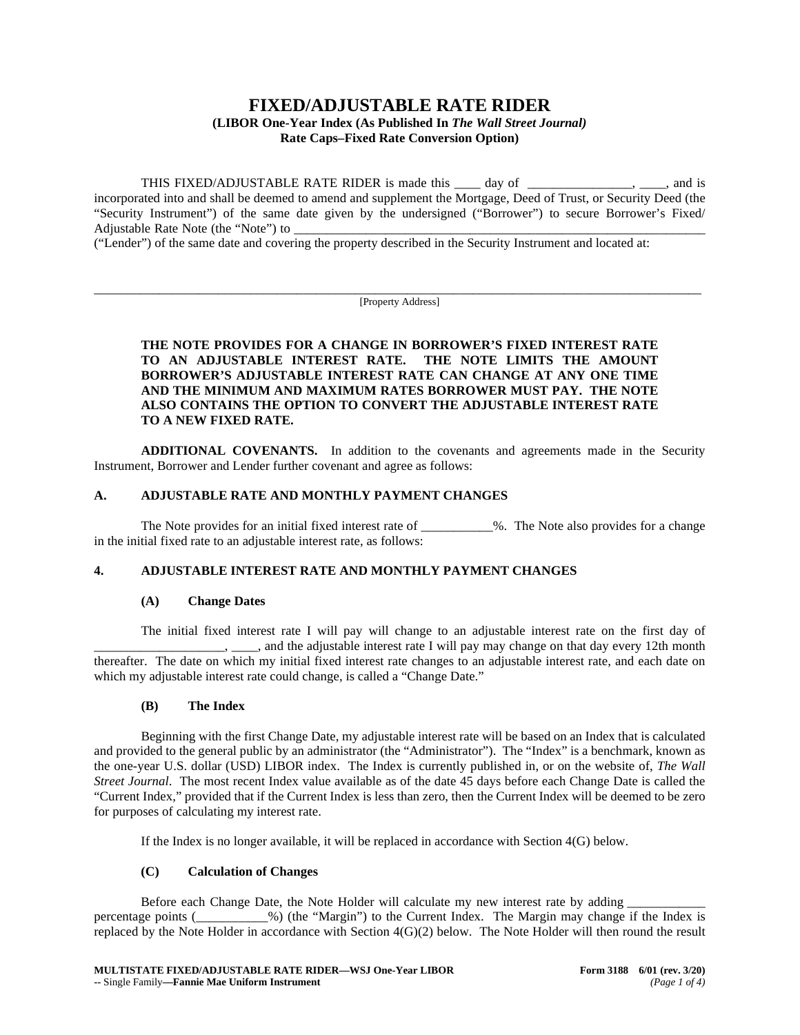# **FIXED/ADJUSTABLE RATE RIDER**

**(LIBOR One-Year Index (As Published In** *The Wall Street Journal)* **Rate Caps–Fixed Rate Conversion Option)**

THIS FIXED/ADJUSTABLE RATE RIDER is made this \_\_\_\_ day of \_\_\_\_\_\_\_\_\_\_\_\_\_\_, \_\_\_\_, and is incorporated into and shall be deemed to amend and supplement the Mortgage, Deed of Trust, or Security Deed (the "Security Instrument") of the same date given by the undersigned ("Borrower") to secure Borrower's Fixed/ Adjustable Rate Note (the "Note") to

("Lender") of the same date and covering the property described in the Security Instrument and located at:

\_\_\_\_\_\_\_\_\_\_\_\_\_\_\_\_\_\_\_\_\_\_\_\_\_\_\_\_\_\_\_\_\_\_\_\_\_\_\_\_\_\_\_\_\_\_\_\_\_\_\_\_\_\_\_\_\_\_\_\_\_\_\_\_\_\_\_\_\_\_\_\_\_\_\_\_\_\_\_\_\_\_\_\_\_\_\_\_\_\_\_\_\_ [Property Address]

## **THE NOTE PROVIDES FOR A CHANGE IN BORROWER'S FIXED INTEREST RATE TO AN ADJUSTABLE INTEREST RATE. THE NOTE LIMITS THE AMOUNT BORROWER'S ADJUSTABLE INTEREST RATE CAN CHANGE AT ANY ONE TIME AND THE MINIMUM AND MAXIMUM RATES BORROWER MUST PAY. THE NOTE ALSO CONTAINS THE OPTION TO CONVERT THE ADJUSTABLE INTEREST RATE TO A NEW FIXED RATE.**

**ADDITIONAL COVENANTS.** In addition to the covenants and agreements made in the Security Instrument, Borrower and Lender further covenant and agree as follows:

# **A. ADJUSTABLE RATE AND MONTHLY PAYMENT CHANGES**

The Note provides for an initial fixed interest rate of  $\%$ . The Note also provides for a change in the initial fixed rate to an adjustable interest rate, as follows:

# **4. ADJUSTABLE INTEREST RATE AND MONTHLY PAYMENT CHANGES**

#### **(A) Change Dates**

The initial fixed interest rate I will pay will change to an adjustable interest rate on the first day of <sub>1</sub>, <sub>1</sub>, <sub>2</sub>, <sub>3</sub>, and the adjustable interest rate I will pay may change on that day every 12th month thereafter. The date on which my initial fixed interest rate changes to an adjustable interest rate, and each date on which my adjustable interest rate could change, is called a "Change Date."

#### **(B) The Index**

Beginning with the first Change Date, my adjustable interest rate will be based on an Index that is calculated and provided to the general public by an administrator (the "Administrator"). The "Index" is a benchmark, known as the one-year U.S. dollar (USD) LIBOR index. The Index is currently published in, or on the website of, *The Wall Street Journal*. The most recent Index value available as of the date 45 days before each Change Date is called the "Current Index," provided that if the Current Index is less than zero, then the Current Index will be deemed to be zero for purposes of calculating my interest rate.

If the Index is no longer available, it will be replaced in accordance with Section 4(G) below.

#### **(C) Calculation of Changes**

Before each Change Date, the Note Holder will calculate my new interest rate by adding percentage points (\_\_\_\_\_\_\_\_\_\_\_%) (the "Margin") to the Current Index. The Margin may change if the Index is replaced by the Note Holder in accordance with Section 4(G)(2) below. The Note Holder will then round the result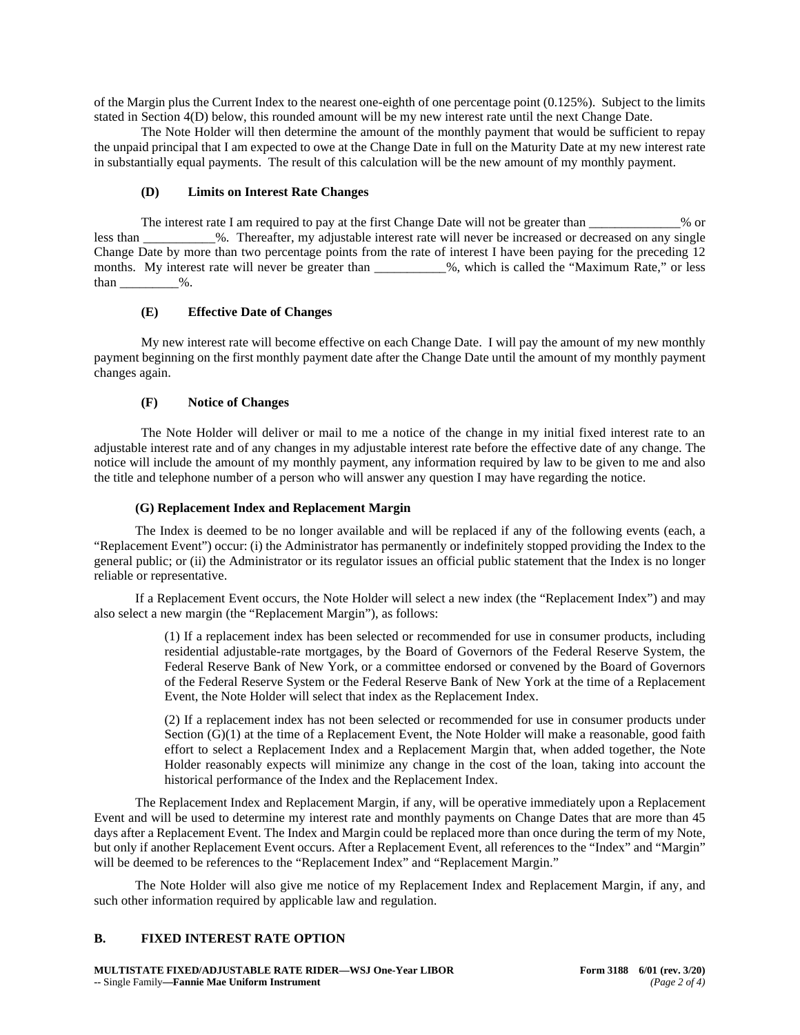of the Margin plus the Current Index to the nearest one-eighth of one percentage point (0.125%). Subject to the limits stated in Section 4(D) below, this rounded amount will be my new interest rate until the next Change Date.

The Note Holder will then determine the amount of the monthly payment that would be sufficient to repay the unpaid principal that I am expected to owe at the Change Date in full on the Maturity Date at my new interest rate in substantially equal payments. The result of this calculation will be the new amount of my monthly payment.

### **(D) Limits on Interest Rate Changes**

The interest rate I am required to pay at the first Change Date will not be greater than \_\_\_\_\_\_\_\_\_\_\_\_\_\_% or less than \_\_\_\_\_\_\_\_\_\_\_%. Thereafter, my adjustable interest rate will never be increased or decreased on any single Change Date by more than two percentage points from the rate of interest I have been paying for the preceding 12 months. My interest rate will never be greater than  $\%$ , which is called the "Maximum Rate," or less than  $\%$ .

## **(E) Effective Date of Changes**

My new interest rate will become effective on each Change Date. I will pay the amount of my new monthly payment beginning on the first monthly payment date after the Change Date until the amount of my monthly payment changes again.

# **(F) Notice of Changes**

The Note Holder will deliver or mail to me a notice of the change in my initial fixed interest rate to an adjustable interest rate and of any changes in my adjustable interest rate before the effective date of any change. The notice will include the amount of my monthly payment, any information required by law to be given to me and also the title and telephone number of a person who will answer any question I may have regarding the notice.

## **(G) Replacement Index and Replacement Margin**

The Index is deemed to be no longer available and will be replaced if any of the following events (each, a "Replacement Event") occur: (i) the Administrator has permanently or indefinitely stopped providing the Index to the general public; or (ii) the Administrator or its regulator issues an official public statement that the Index is no longer reliable or representative.

If a Replacement Event occurs, the Note Holder will select a new index (the "Replacement Index") and may also select a new margin (the "Replacement Margin"), as follows:

> (1) If a replacement index has been selected or recommended for use in consumer products, including residential adjustable-rate mortgages, by the Board of Governors of the Federal Reserve System, the Federal Reserve Bank of New York, or a committee endorsed or convened by the Board of Governors of the Federal Reserve System or the Federal Reserve Bank of New York at the time of a Replacement Event, the Note Holder will select that index as the Replacement Index.

> (2) If a replacement index has not been selected or recommended for use in consumer products under Section (G)(1) at the time of a Replacement Event, the Note Holder will make a reasonable, good faith effort to select a Replacement Index and a Replacement Margin that, when added together, the Note Holder reasonably expects will minimize any change in the cost of the loan, taking into account the historical performance of the Index and the Replacement Index.

The Replacement Index and Replacement Margin, if any, will be operative immediately upon a Replacement Event and will be used to determine my interest rate and monthly payments on Change Dates that are more than 45 days after a Replacement Event. The Index and Margin could be replaced more than once during the term of my Note, but only if another Replacement Event occurs. After a Replacement Event, all references to the "Index" and "Margin" will be deemed to be references to the "Replacement Index" and "Replacement Margin."

The Note Holder will also give me notice of my Replacement Index and Replacement Margin, if any, and such other information required by applicable law and regulation.

# **B. FIXED INTEREST RATE OPTION**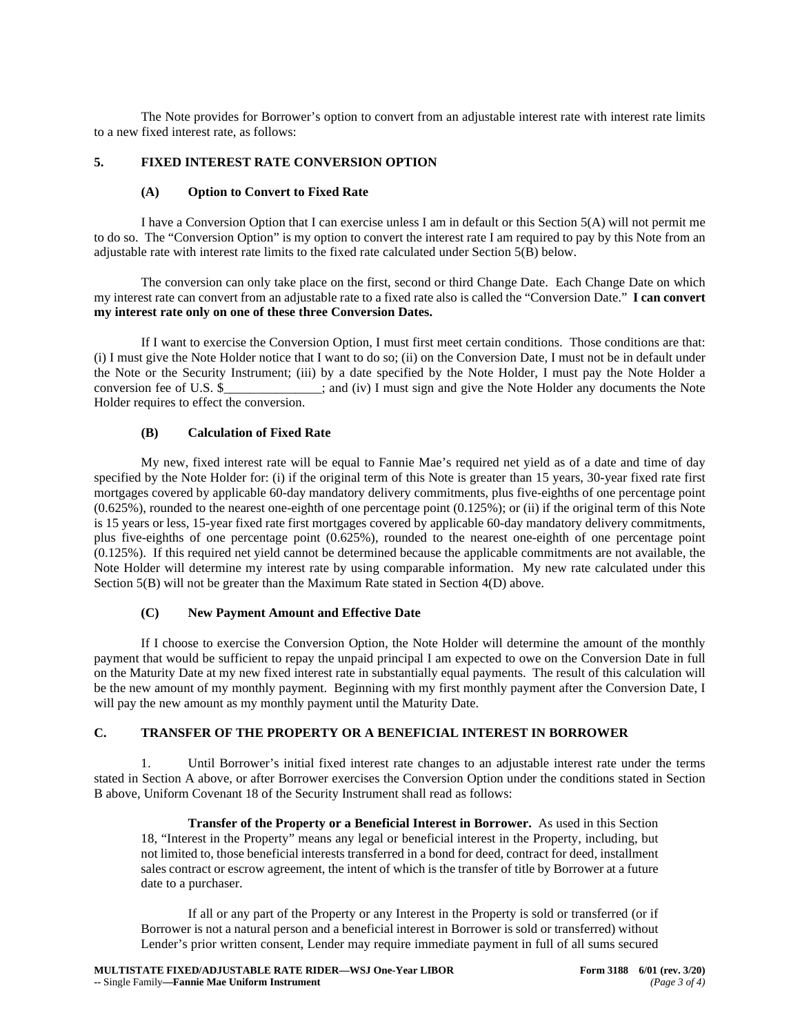The Note provides for Borrower's option to convert from an adjustable interest rate with interest rate limits to a new fixed interest rate, as follows:

## **5. FIXED INTEREST RATE CONVERSION OPTION**

#### **(A) Option to Convert to Fixed Rate**

I have a Conversion Option that I can exercise unless I am in default or this Section 5(A) will not permit me to do so. The "Conversion Option" is my option to convert the interest rate I am required to pay by this Note from an adjustable rate with interest rate limits to the fixed rate calculated under Section 5(B) below.

The conversion can only take place on the first, second or third Change Date. Each Change Date on which my interest rate can convert from an adjustable rate to a fixed rate also is called the "Conversion Date." **I can convert my interest rate only on one of these three Conversion Dates.**

If I want to exercise the Conversion Option, I must first meet certain conditions. Those conditions are that: (i) I must give the Note Holder notice that I want to do so; (ii) on the Conversion Date, I must not be in default under the Note or the Security Instrument; (iii) by a date specified by the Note Holder, I must pay the Note Holder a conversion fee of U.S. \$\_\_\_\_\_\_\_\_\_\_\_\_\_\_\_; and (iv) I must sign and give the Note Holder any documents the Note Holder requires to effect the conversion.

## **(B) Calculation of Fixed Rate**

My new, fixed interest rate will be equal to Fannie Mae's required net yield as of a date and time of day specified by the Note Holder for: (i) if the original term of this Note is greater than 15 years, 30-year fixed rate first mortgages covered by applicable 60-day mandatory delivery commitments, plus five-eighths of one percentage point (0.625%), rounded to the nearest one-eighth of one percentage point (0.125%); or (ii) if the original term of this Note is 15 years or less, 15-year fixed rate first mortgages covered by applicable 60-day mandatory delivery commitments, plus five-eighths of one percentage point (0.625%), rounded to the nearest one-eighth of one percentage point (0.125%). If this required net yield cannot be determined because the applicable commitments are not available, the Note Holder will determine my interest rate by using comparable information. My new rate calculated under this Section 5(B) will not be greater than the Maximum Rate stated in Section 4(D) above.

#### **(C) New Payment Amount and Effective Date**

If I choose to exercise the Conversion Option, the Note Holder will determine the amount of the monthly payment that would be sufficient to repay the unpaid principal I am expected to owe on the Conversion Date in full on the Maturity Date at my new fixed interest rate in substantially equal payments. The result of this calculation will be the new amount of my monthly payment. Beginning with my first monthly payment after the Conversion Date, I will pay the new amount as my monthly payment until the Maturity Date.

# **C. TRANSFER OF THE PROPERTY OR A BENEFICIAL INTEREST IN BORROWER**

1. Until Borrower's initial fixed interest rate changes to an adjustable interest rate under the terms stated in Section A above, or after Borrower exercises the Conversion Option under the conditions stated in Section B above, Uniform Covenant 18 of the Security Instrument shall read as follows:

**Transfer of the Property or a Beneficial Interest in Borrower.** As used in this Section 18, "Interest in the Property" means any legal or beneficial interest in the Property, including, but not limited to, those beneficial interests transferred in a bond for deed, contract for deed, installment sales contract or escrow agreement, the intent of which is the transfer of title by Borrower at a future date to a purchaser.

If all or any part of the Property or any Interest in the Property is sold or transferred (or if Borrower is not a natural person and a beneficial interest in Borrower is sold or transferred) without Lender's prior written consent, Lender may require immediate payment in full of all sums secured